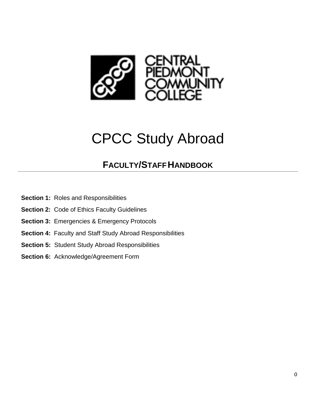

# CPCC Study Abroad

### **FACULTY/STAFFHANDBOOK**

- **Section 1:** Roles and Responsibilities
- **Section 2:** Code of Ethics Faculty Guidelines
- **Section 3:** Emergencies & Emergency Protocols
- **Section 4:** Faculty and Staff Study Abroad Responsibilities
- **Section 5:** Student Study Abroad Responsibilities
- **Section 6:** Acknowledge/Agreement Form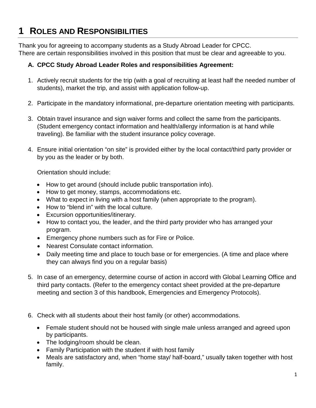# **1 ROLES AND RESPONSIBILITIES**

Thank you for agreeing to accompany students as a Study Abroad Leader for CPCC. There are certain responsibilities involved in this position that must be clear and agreeable to you.

#### **A. CPCC Study Abroad Leader Roles and responsibilities Agreement:**

- 1. Actively recruit students for the trip (with a goal of recruiting at least half the needed number of students), market the trip, and assist with application follow-up.
- 2. Participate in the mandatory informational, pre-departure orientation meeting with participants.
- 3. Obtain travel insurance and sign waiver forms and collect the same from the participants. (Student emergency contact information and health/allergy information is at hand while traveling). Be familiar with the student insurance policy coverage.
- 4. Ensure initial orientation "on site" is provided either by the local contact/third party provider or by you as the leader or by both.

Orientation should include:

- How to get around (should include public transportation info).
- How to get money, stamps, accommodations etc.
- What to expect in living with a host family (when appropriate to the program).
- How to "blend in" with the local culture.
- Excursion opportunities/itinerary.
- How to contact you, the leader, and the third party provider who has arranged your program.
- Emergency phone numbers such as for Fire or Police.
- Nearest Consulate contact information.
- Daily meeting time and place to touch base or for emergencies. (A time and place where they can always find you on a regular basis)
- 5. In case of an emergency, determine course of action in accord with Global Learning Office and third party contacts. (Refer to the emergency contact sheet provided at the pre-departure meeting and section 3 of this handbook, Emergencies and Emergency Protocols).
- 6. Check with all students about their host family (or other) accommodations.
	- Female student should not be housed with single male unless arranged and agreed upon by participants.
	- The lodging/room should be clean.
	- Family Participation with the student if with host family
	- Meals are satisfactory and, when "home stay/ half-board," usually taken together with host family.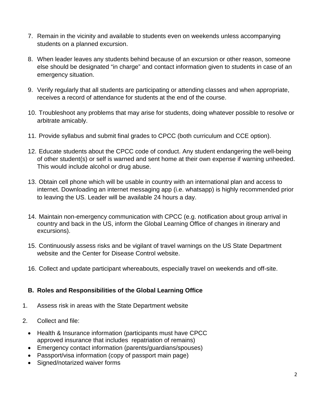- 7. Remain in the vicinity and available to students even on weekends unless accompanying students on a planned excursion.
- 8. When leader leaves any students behind because of an excursion or other reason, someone else should be designated "in charge" and contact information given to students in case of an emergency situation.
- 9. Verify regularly that all students are participating or attending classes and when appropriate, receives a record of attendance for students at the end of the course.
- 10. Troubleshoot any problems that may arise for students, doing whatever possible to resolve or arbitrate amicably.
- 11. Provide syllabus and submit final grades to CPCC (both curriculum and CCE option).
- 12. Educate students about the CPCC code of conduct. Any student endangering the well-being of other student(s) or self is warned and sent home at their own expense if warning unheeded. This would include alcohol or drug abuse.
- 13. Obtain cell phone which will be usable in country with an international plan and access to internet. Downloading an internet messaging app (i.e. whatsapp) is highly recommended prior to leaving the US. Leader will be available 24 hours a day.
- 14. Maintain non-emergency communication with CPCC (e.g. notification about group arrival in country and back in the US, inform the Global Learning Office of changes in itinerary and excursions).
- 15. Continuously assess risks and be vigilant of travel warnings on the US State Department website and the Center for Disease Control website.
- 16. Collect and update participant whereabouts, especially travel on weekends and off-site.

#### **B. Roles and Responsibilities of the Global Learning Office**

- 1. Assess risk in areas with the State Department website
- 2. Collect and file:
	- Health & Insurance information (participants must have CPCC approved insurance that includes repatriation of remains)
	- Emergency contact information (parents/guardians/spouses)
	- Passport/visa information (copy of passport main page)
	- Signed/notarized waiver forms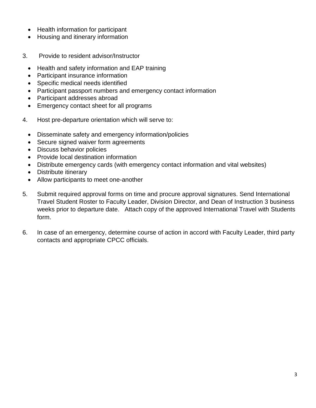- Health information for participant
- Housing and itinerary information
- 3. Provide to resident advisor/Instructor
	- Health and safety information and EAP training
	- Participant insurance information
	- Specific medical needs identified
	- Participant passport numbers and emergency contact information
	- Participant addresses abroad
	- Emergency contact sheet for all programs
- 4. Host pre-departure orientation which will serve to:
	- Disseminate safety and emergency information/policies
	- Secure signed waiver form agreements
	- Discuss behavior policies
	- Provide local destination information
	- Distribute emergency cards (with emergency contact information and vital websites)
	- Distribute itinerary
	- Allow participants to meet one-another
- 5. Submit required approval forms on time and procure approval signatures. Send International Travel Student Roster to Faculty Leader, Division Director, and Dean of Instruction 3 business weeks prior to departure date. Attach copy of the approved International Travel with Students form.
- 6. In case of an emergency, determine course of action in accord with Faculty Leader, third party contacts and appropriate CPCC officials.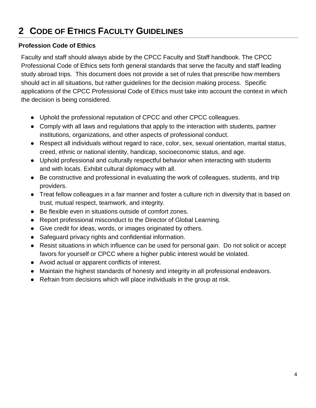# **2 CODE OF ETHICS FACULTY GUIDELINES**

#### **Profession Code of Ethics**

Faculty and staff should always abide by the CPCC Faculty and Staff handbook. The CPCC Professional Code of Ethics sets forth general standards that serve the faculty and staff leading study abroad trips. This document does not provide a set of rules that prescribe how members should act in all situations, but rather guidelines for the decision making process. Specific applications of the CPCC Professional Code of Ethics must take into account the context in which the decision is being considered.

- Uphold the professional reputation of CPCC and other CPCC colleagues.
- Comply with all laws and regulations that apply to the interaction with students, partner institutions, organizations, and other aspects of professional conduct.
- Respect all individuals without regard to race, color, sex, sexual orientation, marital status, creed, ethnic or national identity, handicap, socioeconomic status, and age.
- Uphold professional and culturally respectful behavior when interacting with students and with locals. Exhibit cultural diplomacy with all.
- Be constructive and professional in evaluating the work of colleagues, students, and trip providers.
- Treat fellow colleagues in a fair manner and foster a culture rich in diversity that is based on trust, mutual respect, teamwork, and integrity.
- Be flexible even in situations outside of comfort zones.
- Report professional misconduct to the Director of Global Learning.
- Give credit for ideas, words, or images originated by others.
- Safeguard privacy rights and confidential information.
- Resist situations in which influence can be used for personal gain. Do not solicit or accept favors for yourself or CPCC where a higher public interest would be violated.
- Avoid actual or apparent conflicts of interest.
- Maintain the highest standards of honesty and integrity in all professional endeavors.
- Refrain from decisions which will place individuals in the group at risk.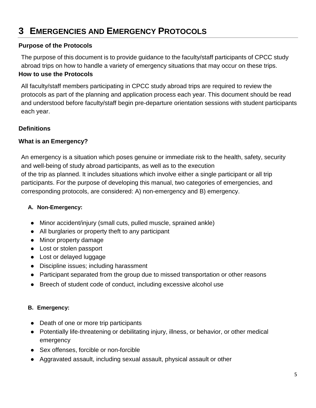### **3 EMERGENCIES AND EMERGENCY PROTOCOLS**

#### **Purpose of the Protocols**

The purpose of this document is to provide guidance to the faculty/staff participants of CPCC study abroad trips on how to handle a variety of emergency situations that may occur on these trips. **How to use the Protocols**

All faculty/staff members participating in CPCC study abroad trips are required to review the protocols as part of the planning and application process each year. This document should be read and understood before faculty/staff begin pre-departure orientation sessions with student participants each year.

#### **Definitions**

#### **What is an Emergency?**

An emergency is a situation which poses genuine or immediate risk to the health, safety, security and well-being of study abroad participants, as well as to the execution of the trip as planned. It includes situations which involve either a single participant or all trip participants. For the purpose of developing this manual, two categories of emergencies, and corresponding protocols, are considered: A) non-emergency and B) emergency.

#### **A. Non-Emergency:**

- Minor accident/injury (small cuts, pulled muscle, sprained ankle)
- All burglaries or property theft to any participant
- Minor property damage
- Lost or stolen passport
- Lost or delayed luggage
- Discipline issues; including harassment
- Participant separated from the group due to missed transportation or other reasons
- Breech of student code of conduct, including excessive alcohol use

#### **B. Emergency:**

- Death of one or more trip participants
- Potentially life-threatening or debilitating injury, illness, or behavior, or other medical emergency
- Sex offenses, forcible or non-forcible
- Aggravated assault, including sexual assault, physical assault or other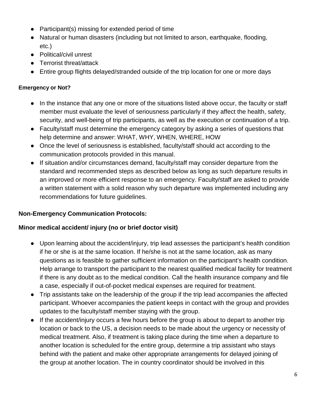- Participant(s) missing for extended period of time
- Natural or human disasters (including but not limited to arson, earthquake, flooding, etc.)
- Political/civil unrest
- Terrorist threat/attack
- Entire group flights delayed/stranded outside of the trip location for one or more days

#### **Emergency or Not?**

- In the instance that any one or more of the situations listed above occur, the faculty or staff member must evaluate the level of seriousness particularly if they affect the health, safety, security, and well-being of trip participants, as well as the execution or continuation of a trip.
- Faculty/staff must determine the emergency category by asking a series of questions that help determine and answer: WHAT, WHY, WHEN, WHERE, HOW
- Once the level of seriousness is established, faculty/staff should act according to the communication protocols provided in this manual.
- If situation and/or circumstances demand, faculty/staff may consider departure from the standard and recommended steps as described below as long as such departure results in an improved or more efficient response to an emergency. Faculty/staff are asked to provide a written statement with a solid reason why such departure was implemented including any recommendations for future guidelines.

#### **Non-Emergency Communication Protocols:**

#### **Minor medical accident/ injury (no or brief doctor visit)**

- Upon learning about the accident/injury, trip lead assesses the participant's health condition if he or she is at the same location. If he/she is not at the same location, ask as many questions as is feasible to gather sufficient information on the participant's health condition. Help arrange to transport the participant to the nearest qualified medical facility for treatment if there is any doubt as to the medical condition. Call the health insurance company and file a case, especially if out-of-pocket medical expenses are required for treatment.
- Trip assistants take on the leadership of the group if the trip lead accompanies the affected participant. Whoever accompanies the patient keeps in contact with the group and provides updates to the faculty/staff member staying with the group.
- If the accident/injury occurs a few hours before the group is about to depart to another trip location or back to the US, a decision needs to be made about the urgency or necessity of medical treatment. Also, if treatment is taking place during the time when a departure to another location is scheduled for the entire group, determine a trip assistant who stays behind with the patient and make other appropriate arrangements for delayed joining of the group at another location. The in country coordinator should be involved in this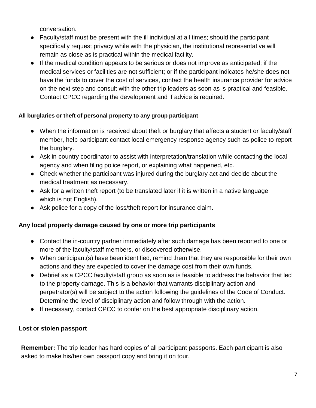conversation.

- Faculty/staff must be present with the ill individual at all times; should the participant specifically request privacy while with the physician, the institutional representative will remain as close as is practical within the medical facility.
- If the medical condition appears to be serious or does not improve as anticipated; if the medical services or facilities are not sufficient; or if the participant indicates he/she does not have the funds to cover the cost of services, contact the health insurance provider for advice on the next step and consult with the other trip leaders as soon as is practical and feasible. Contact CPCC regarding the development and if advice is required.

#### **All burglaries or theft of personal property to any group participant**

- When the information is received about theft or burglary that affects a student or faculty/staff member, help participant contact local emergency response agency such as police to report the burglary.
- Ask in-country coordinator to assist with interpretation/translation while contacting the local agency and when filing police report, or explaining what happened, etc.
- Check whether the participant was injured during the burglary act and decide about the medical treatment as necessary.
- Ask for a written theft report (to be translated later if it is written in a native language which is not English).
- Ask police for a copy of the loss/theft report for insurance claim.

#### **Any local property damage caused by one or more trip participants**

- Contact the in-country partner immediately after such damage has been reported to one or more of the faculty/staff members, or discovered otherwise.
- When participant(s) have been identified, remind them that they are responsible for their own actions and they are expected to cover the damage cost from their own funds.
- Debrief as a CPCC faculty/staff group as soon as is feasible to address the behavior that led to the property damage. This is a behavior that warrants disciplinary action and perpetrator(s) will be subject to the action following the guidelines of the Code of Conduct. Determine the level of disciplinary action and follow through with the action.
- If necessary, contact CPCC to confer on the best appropriate disciplinary action.

#### **Lost or stolen passport**

**Remember:** The trip leader has hard copies of all participant passports. Each participant is also asked to make his/her own passport copy and bring it on tour.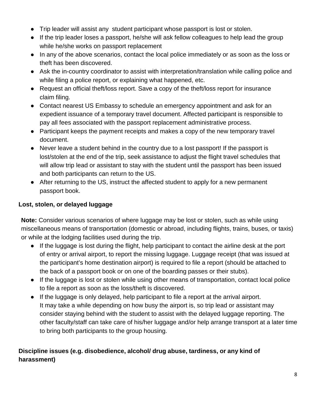- Trip leader will assist any student participant whose passport is lost or stolen.
- If the trip leader loses a passport, he/she will ask fellow colleagues to help lead the group while he/she works on passport replacement
- In any of the above scenarios, contact the local police immediately or as soon as the loss or theft has been discovered.
- Ask the in-country coordinator to assist with interpretation/translation while calling police and while filing a police report, or explaining what happened, etc.
- Request an official theft/loss report. Save a copy of the theft/loss report for insurance claim filing.
- Contact nearest US Embassy to schedule an emergency appointment and ask for an expedient issuance of a temporary travel document. Affected participant is responsible to pay all fees associated with the passport replacement administrative process.
- Participant keeps the payment receipts and makes a copy of the new temporary travel document.
- Never leave a student behind in the country due to a lost passport! If the passport is lost/stolen at the end of the trip, seek assistance to adjust the flight travel schedules that will allow trip lead or assistant to stay with the student until the passport has been issued and both participants can return to the US.
- After returning to the US, instruct the affected student to apply for a new permanent passport book.

#### **Lost, stolen, or delayed luggage**

**Note:** Consider various scenarios of where luggage may be lost or stolen, such as while using miscellaneous means of transportation (domestic or abroad, including flights, trains, buses, or taxis) or while at the lodging facilities used during the trip.

- If the luggage is lost during the flight, help participant to contact the airline desk at the port of entry or arrival airport, to report the missing luggage. Luggage receipt (that was issued at the participant's home destination airport) is required to file a report (should be attached to the back of a passport book or on one of the boarding passes or their stubs).
- If the luggage is lost or stolen while using other means of transportation, contact local police to file a report as soon as the loss/theft is discovered.
- If the luggage is only delayed, help participant to file a report at the arrival airport. It may take a while depending on how busy the airport is, so trip lead or assistant may consider staying behind with the student to assist with the delayed luggage reporting. The other faculty/staff can take care of his/her luggage and/or help arrange transport at a later time to bring both participants to the group housing.

#### **Discipline issues (e.g. disobedience, alcohol/ drug abuse, tardiness, or any kind of harassment)**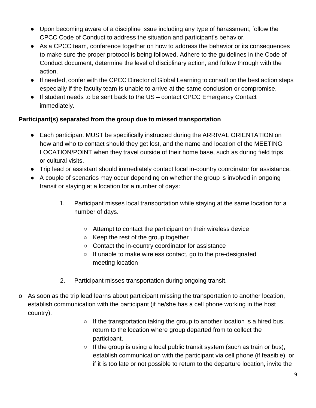- Upon becoming aware of a discipline issue including any type of harassment, follow the CPCC Code of Conduct to address the situation and participant's behavior.
- As a CPCC team, conference together on how to address the behavior or its consequences to make sure the proper protocol is being followed. Adhere to the guidelines in the Code of Conduct document, determine the level of disciplinary action, and follow through with the action.
- If needed, confer with the CPCC Director of Global Learning to consult on the best action steps especially if the faculty team is unable to arrive at the same conclusion or compromise.
- If student needs to be sent back to the US contact CPCC Emergency Contact immediately.

#### **Participant(s) separated from the group due to missed transportation**

- Each participant MUST be specifically instructed during the ARRIVAL ORIENTATION on how and who to contact should they get lost, and the name and location of the MEETING LOCATION/POINT when they travel outside of their home base, such as during field trips or cultural visits.
- Trip lead or assistant should immediately contact local in-country coordinator for assistance.
- A couple of scenarios may occur depending on whether the group is involved in ongoing transit or staying at a location for a number of days:
	- 1. Participant misses local transportation while staying at the same location for a number of days.
		- Attempt to contact the participant on their wireless device
		- Keep the rest of the group together
		- Contact the in-country coordinator for assistance
		- If unable to make wireless contact, go to the pre-designated meeting location
	- 2. Participant misses transportation during ongoing transit.
- $\circ$  As soon as the trip lead learns about participant missing the transportation to another location, establish communication with the participant (if he/she has a cell phone working in the host country).
	- $\circ$  If the transportation taking the group to another location is a hired bus, return to the location where group departed from to collect the participant.
	- $\circ$  If the group is using a local public transit system (such as train or bus), establish communication with the participant via cell phone (if feasible), or if it is too late or not possible to return to the departure location, invite the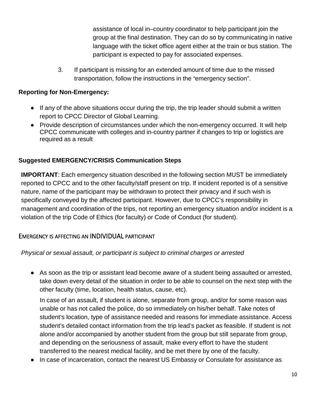assistance of local in–country coordinator to help participant join the group at the final destination. They can do so by communicating in native language with the ticket office agent either at the train or bus station. The participant is expected to pay for associated expenses.

3. If participant is missing for an extended amount of time due to the missed transportation, follow the instructions in the "emergency section".

#### **Reporting for Non-Emergency:**

- If any of the above situations occur during the trip, the trip leader should submit a written report to CPCC Director of Global Learning.
- Provide description of circumstances under which the non-emergency occurred. It will help CPCC communicate with colleges and in-country partner if changes to trip or logistics are required as a result

#### **Suggested EMERGENCY/CRISIS Communication Steps**

**IMPORTANT:** Each emergency situation described in the following section MUST be immediately reported to CPCC and to the other faculty/staff present on trip. If incident reported is of a sensitive nature, name of the participant may be withdrawn to protect their privacy and if such wish is specifically conveyed by the affected participant. However, due to CPCC's responsibility in management and coordination of the trips, not reporting an emergency situation and/or incident is a violation of the trip Code of Ethics (for faculty) or Code of Conduct (for student).

#### EMERGENCY IS AFFECTING AN INDIVIDUAL PARTICIPANT

*Physical or sexual assault, or participant is subject to criminal charges or arrested*

● As soon as the trip or assistant lead become aware of a student being assaulted or arrested, take down every detail of the situation in order to be able to counsel on the next step with the other faculty (time, location, health status, cause, etc).

In case of an assault, if student is alone, separate from group, and/or for some reason was unable or has not called the police, do so immediately on his/her behalf. Take notes of student's location, type of assistance needed and reasons for immediate assistance. Access student's detailed contact information from the trip lead's packet as feasible. If student is not alone and/or accompanied by another student from the group but still separate from group, and depending on the seriousness of assault, make every effort to have the student transferred to the nearest medical facility, and be met there by one of the faculty.

● In case of incarceration, contact the nearest US Embassy or Consulate for assistance as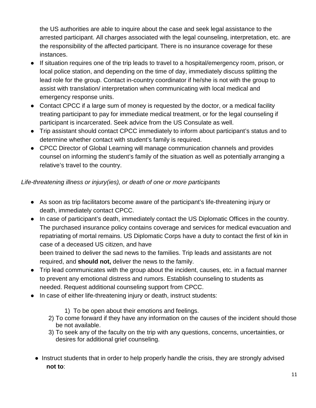the US authorities are able to inquire about the case and seek legal assistance to the arrested participant. All charges associated with the legal counseling, interpretation, etc. are the responsibility of the affected participant. There is no insurance coverage for these instances.

- If situation requires one of the trip leads to travel to a hospital/emergency room, prison, or local police station, and depending on the time of day, immediately discuss splitting the lead role for the group. Contact in-country coordinator if he/she is not with the group to assist with translation/ interpretation when communicating with local medical and emergency response units.
- Contact CPCC if a large sum of money is requested by the doctor, or a medical facility treating participant to pay for immediate medical treatment, or for the legal counseling if participant is incarcerated. Seek advice from the US Consulate as well.
- Trip assistant should contact CPCC immediately to inform about participant's status and to determine whether contact with student's family is required.
- CPCC Director of Global Learning will manage communication channels and provides counsel on informing the student's family of the situation as well as potentially arranging a relative's travel to the country.

#### *Life-threatening illness or injury(ies), or death of one or more participants*

- As soon as trip facilitators become aware of the participant's life-threatening injury or death, immediately contact CPCC.
- In case of participant's death, immediately contact the US Diplomatic Offices in the country. The purchased insurance policy contains coverage and services for medical evacuation and repatriating of mortal remains. US Diplomatic Corps have a duty to contact the first of kin in case of a deceased US citizen, and have

been trained to deliver the sad news to the families. Trip leads and assistants are not required, and **should not,** deliver the news to the family.

- Trip lead communicates with the group about the incident, causes, etc. in a factual manner to prevent any emotional distress and rumors. Establish counseling to students as needed. Request additional counseling support from CPCC.
- In case of either life-threatening injury or death, instruct students:
	- 1) To be open about their emotions and feelings.
	- 2) To come forward if they have any information on the causes of the incident should those be not available.
	- 3) To seek any of the faculty on the trip with any questions, concerns, uncertainties, or desires for additional grief counseling.
	- Instruct students that in order to help properly handle the crisis, they are strongly advised **not to**: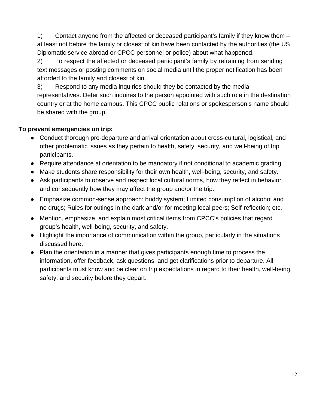1) Contact anyone from the affected or deceased participant's family if they know them – at least not before the family or closest of kin have been contacted by the authorities (the US Diplomatic service abroad or CPCC personnel or police) about what happened.

2) To respect the affected or deceased participant's family by refraining from sending text messages or posting comments on social media until the proper notification has been afforded to the family and closest of kin.

3) Respond to any media inquiries should they be contacted by the media representatives. Defer such inquires to the person appointed with such role in the destination country or at the home campus. This CPCC public relations or spokesperson's name should be shared with the group.

#### **To prevent emergencies on trip:**

- Conduct thorough pre-departure and arrival orientation about cross-cultural, logistical, and other problematic issues as they pertain to health, safety, security, and well-being of trip participants.
- Require attendance at orientation to be mandatory if not conditional to academic grading.
- Make students share responsibility for their own health, well-being, security, and safety.
- Ask participants to observe and respect local cultural norms, how they reflect in behavior and consequently how they may affect the group and/or the trip.
- Emphasize common-sense approach: buddy system; Limited consumption of alcohol and no drugs; Rules for outings in the dark and/or for meeting local peers; Self-reflection; etc.
- Mention, emphasize, and explain most critical items from CPCC's policies that regard group's health, well-being, security, and safety.
- Highlight the importance of communication within the group, particularly in the situations discussed here.
- Plan the orientation in a manner that gives participants enough time to process the information, offer feedback, ask questions, and get clarifications prior to departure. All participants must know and be clear on trip expectations in regard to their health, well-being, safety, and security before they depart.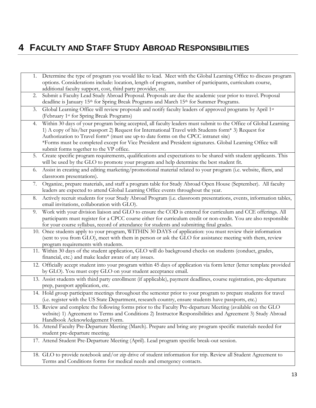# **4 FACULTY AND STAFF STUDY ABROAD RESPONSIBILITIES**

|    | 1. Determine the type of program you would like to lead. Meet with the Global Learning Office to discuss program<br>options. Considerations include: location, length of program, number of participants, curriculum course,                                                                                                                                                                                                                                          |
|----|-----------------------------------------------------------------------------------------------------------------------------------------------------------------------------------------------------------------------------------------------------------------------------------------------------------------------------------------------------------------------------------------------------------------------------------------------------------------------|
|    | additional faculty support, cost, third party provider, etc.                                                                                                                                                                                                                                                                                                                                                                                                          |
| 2. | Submit a Faculty Lead Study Abroad Proposal. Proposals are due the academic year prior to travel. Proposal<br>deadline is January 15 <sup>th</sup> for Spring Break Programs and March 15 <sup>th</sup> for Summer Programs.                                                                                                                                                                                                                                          |
| 3. | Global Learning Office will review proposals and notify faculty leaders of approved programs by April 1st<br>(February 1st for Spring Break Programs)                                                                                                                                                                                                                                                                                                                 |
| 4. | Within 30 days of your program being accepted, all faculty leaders must submit to the Office of Global Learning<br>1) A copy of his/her passport 2) Request for International Travel with Students form* 3) Request for<br>Authorization to Travel form* (must use up-to date forms on the CPCC intranet site)<br>*Forms must be completed except for Vice President and President signatures. Global Learning Office will<br>submit forms together to the VP office. |
| 5. | Create specific program requirements, qualifications and expectations to be shared with student applicants. This<br>will be used by the GLO to promote your program and help determine the best student fit.                                                                                                                                                                                                                                                          |
| 6. | Assist in creating and editing marketing/promotional material related to your program (i.e. website, fliers, and<br>classroom presentations).                                                                                                                                                                                                                                                                                                                         |
| 7. | Organize, prepare materials, and staff a program table for Study Abroad Open House (September). All faculty<br>leaders are expected to attend Global Learning Office events throughout the year.                                                                                                                                                                                                                                                                      |
| 8. | Actively recruit students for your Study Abroad Program (i.e. classroom presentations, events, information tables,<br>email invitations, collaboration with GLO).                                                                                                                                                                                                                                                                                                     |
| 9. | Work with your division liaison and GLO to ensure the COD is entered for curriculum and CCE offerings. All<br>participants must register for a CPCC course either for curriculum credit or non-credit. You are also responsible<br>for your course syllabus, record of attendance for students and submitting final grades.                                                                                                                                           |
|    | 10. Once students apply to your program, WITHIN 30 DAYS of application: you must review their information<br>(sent to you from GLO), meet with them in person or ask the GLO for assistance meeting with them, review<br>program requirements with students.                                                                                                                                                                                                          |
|    | 11. Within 30 days of the student application, GLO will do background checks on students (conduct, grades,<br>financial, etc.) and make leader aware of any issues.                                                                                                                                                                                                                                                                                                   |
|    | 12. Officially accept student into your program within 45 days of application via form letter (letter template provided<br>by GLO). You must copy GLO on your student acceptance email.                                                                                                                                                                                                                                                                               |
|    | 13. Assist students with third party enrollment (if applicable), payment deadlines, course registration, pre-departure<br>prep, passport application, etc.                                                                                                                                                                                                                                                                                                            |
|    | 14. Hold group participant meetings throughout the semester prior to your program to prepare students for travel<br>(i.e. register with the US State Department, research country, ensure students have passports, etc.)                                                                                                                                                                                                                                              |
|    | 15. Review and complete the following forms prior to the Faculty Pre-departure Meeting (available on the GLO<br>website) 1) Agreement to Terms and Conditions 2) Instructor Responsibilities and Agreement 3) Study Abroad<br>Handbook Acknowledgement Form.                                                                                                                                                                                                          |
|    | 16. Attend Faculty Pre-Departure Meeting (March). Prepare and bring any program specific materials needed for<br>student pre-departure meeting.                                                                                                                                                                                                                                                                                                                       |
|    | 17. Attend Student Pre-Departure Meeting (April). Lead program specific break-out session.                                                                                                                                                                                                                                                                                                                                                                            |
|    | 18. GLO to provide notebook and/or zip drive of student information for trip. Review all Student Agreement to<br>Terms and Conditions forms for medical needs and emergency contacts.                                                                                                                                                                                                                                                                                 |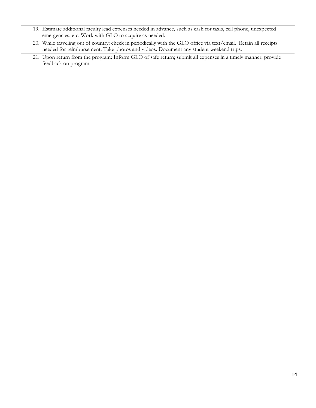| 19. Estimate additional faculty lead expenses needed in advance, such as cash for taxis, cell phone, unexpected<br>emergencies, etc. Work with GLO to acquire as needed.                                   |  |
|------------------------------------------------------------------------------------------------------------------------------------------------------------------------------------------------------------|--|
| 20. While traveling out of country: check in periodically with the GLO office via text/email. Retain all receipts<br>needed for reimbursement. Take photos and videos. Document any student weekend trips. |  |
| 21. Upon return from the program: Inform GLO of safe return; submit all expenses in a timely manner, provide<br>feedback on program.                                                                       |  |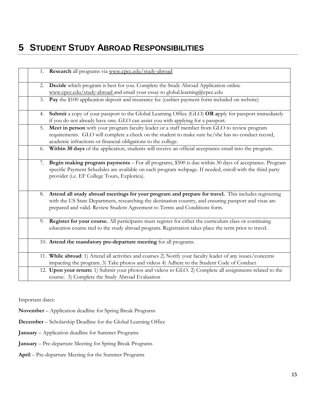### **5 STUDENT STUDY ABROAD RESPONSIBILITIES**

|    | 1. Research all programs via www.cpcc.edu/study-abroad                                                      |
|----|-------------------------------------------------------------------------------------------------------------|
|    |                                                                                                             |
| 2. | Decide which program is best for you. Complete the Study Abroad Application online                          |
|    | www.cpcc.edu/study-abroad and email your essay to global.learning@cpcc.edu                                  |
| 3. | Pay the \$100 application deposit and insurance fee (cashier payment form included on website)              |
|    |                                                                                                             |
| 4. | Submit a copy of your passport to the Global Learning Office (GLO) OR apply for passport immediately        |
|    | if you do not already have one. GLO can assist you with applying for a passport.                            |
| 5. | Meet in person with your program faculty leader or a staff member from GLO to review program                |
|    | requirements. GLO will complete a check on the student to make sure he/she has no conduct record,           |
|    | academic infractions or financial obligations to the college.                                               |
| 6. | Within 30 days of the application, students will receive an official acceptance email into the program.     |
|    |                                                                                                             |
| 7. | Begin making program payments - For all programs, \$500 is due within 30 days of acceptance. Program        |
|    | specific Payment Schedules are available on each program webpage. If needed, enroll with the third party    |
|    | provider (i.e. EF College Tours, Explorica).                                                                |
|    |                                                                                                             |
|    |                                                                                                             |
| 8. | Attend all study abroad meetings for your program and prepare for travel. This includes registering         |
|    | with the US State Department, researching the destination country, and ensuring passport and visas are      |
|    | prepared and valid. Review Student Agreement to Terms and Conditions form.                                  |
|    |                                                                                                             |
| 9. | Register for your course. All participants must register for either the curriculum class or continuing      |
|    | education course tied to the study abroad program. Registration takes place the term prior to travel.       |
|    |                                                                                                             |
|    | 10. Attend the mandatory pre-departure meeting for all programs.                                            |
|    |                                                                                                             |
|    | 11. While abroad: 1) Attend all activities and courses 2) Notify your faculty leader of any issues/concerns |
|    | impacting the program. 3) Take photos and videos 4) Adhere to the Student Code of Conduct                   |
|    | 12. Upon your return: 1) Submit your photos and videos to GLO. 2) Complete all assignments related to the   |
|    | course. 3) Complete the Study Abroad Evaluation                                                             |

Important dates:

**November** – Application deadline for Spring Break Programs

**December** – Scholarship Deadline for the Global Learning Office

**January** – Application deadline for Summer Programs

**January** – Pre-departure Meeting for Spring Break Programs

**April** – Pre-departure Meeting for the Summer Programs